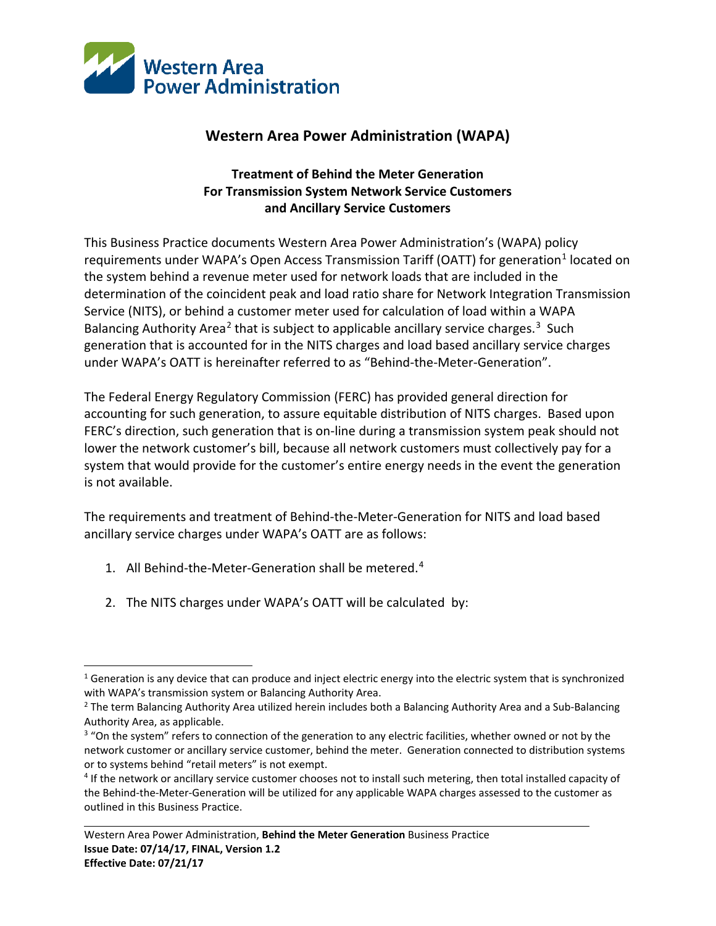

## **Western Area Power Administration (WAPA)**

## **Treatment of Behind the Meter Generation For Transmission System Network Service Customers and Ancillary Service Customers**

This Business Practice documents Western Area Power Administration's (WAPA) policy requirements under WAPA's Open Access Transmission Tariff (OATT) for generation<sup>[1](#page-0-0)</sup> located on the system behind a revenue meter used for network loads that are included in the determination of the coincident peak and load ratio share for Network Integration Transmission Service (NITS), or behind a customer meter used for calculation of load within a WAPA Balancing Authority Area<sup>[2](#page-0-1)</sup> that is subject to applicable ancillary service charges.<sup>3</sup> Such generation that is accounted for in the NITS charges and load based ancillary service charges under WAPA's OATT is hereinafter referred to as "Behind-the-Meter-Generation".

The Federal Energy Regulatory Commission (FERC) has provided general direction for accounting for such generation, to assure equitable distribution of NITS charges. Based upon FERC's direction, such generation that is on-line during a transmission system peak should not lower the network customer's bill, because all network customers must collectively pay for a system that would provide for the customer's entire energy needs in the event the generation is not available.

The requirements and treatment of Behind-the-Meter-Generation for NITS and load based ancillary service charges under WAPA's OATT are as follows:

- 1. All Behind-the-Meter-Generation shall be metered. [4](#page-0-3)
- 2. The NITS charges under WAPA's OATT will be calculated by:

<span id="page-0-0"></span> $\overline{a}$  $1$  Generation is any device that can produce and inject electric energy into the electric system that is synchronized with WAPA's transmission system or Balancing Authority Area.

<span id="page-0-1"></span><sup>&</sup>lt;sup>2</sup> The term Balancing Authority Area utilized herein includes both a Balancing Authority Area and a Sub-Balancing Authority Area, as applicable.<br><sup>3</sup> "On the system" refers to connection of the generation to any electric facilities, whether owned or not by the

<span id="page-0-2"></span>network customer or ancillary service customer, behind the meter. Generation connected to distribution systems or to systems behind "retail meters" is not exempt.

<span id="page-0-3"></span><sup>&</sup>lt;sup>4</sup> If the network or ancillary service customer chooses not to install such metering, then total installed capacity of the Behind-the-Meter-Generation will be utilized for any applicable WAPA charges assessed to the customer as outlined in this Business Practice.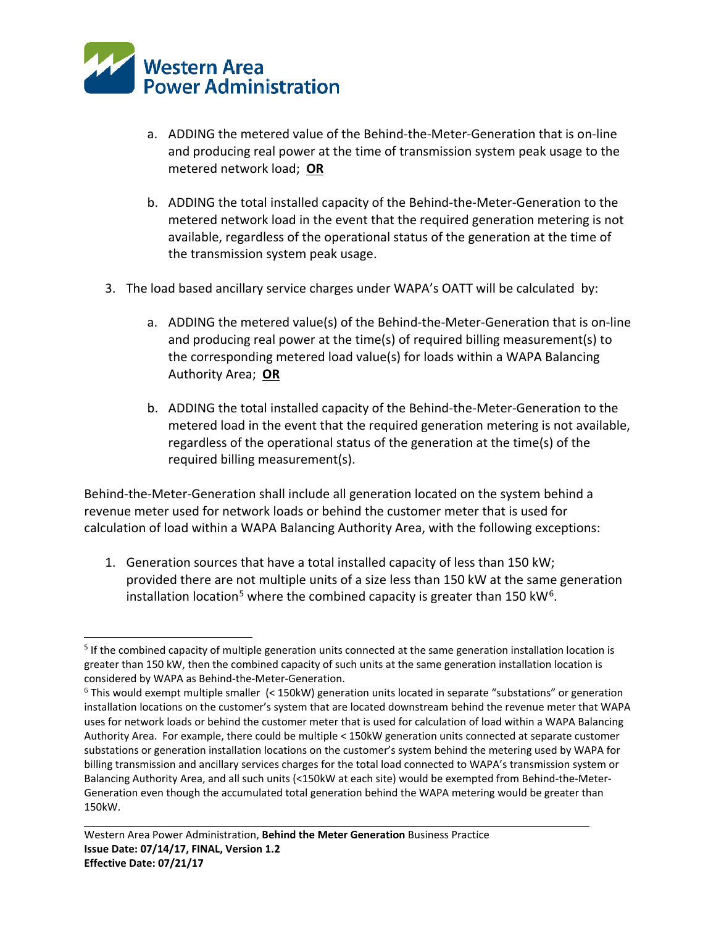

- a. ADDING the metered value of the Behind-the-Meter-Generation that is on-line and producing real power at the time of transmission system peak usage to the metered network load; **OR**
- b. ADDING the total installed capacity of the Behind-the-Meter-Generation to the metered network load in the event that the required generation metering is not available, regardless of the operational status of the generation at the time of the transmission system peak usage.
- 3. The load based ancillary service charges under WAPA's OATT will be calculated by:
	- a. ADDING the metered value(s) of the Behind-the-Meter-Generation that is on-line and producing real power at the time(s) of required billing measurement(s) to the corresponding metered load value(s) for loads within a WAPA Balancing Authority Area; **OR**
	- b. ADDING the total installed capacity of the Behind-the-Meter-Generation to the metered load in the event that the required generation metering is not available, regardless of the operational status of the generation at the time(s) of the required billing measurement(s).

Behind-the-Meter-Generation shall include all generation located on the system behind a revenue meter used for network loads or behind the customer meter that is used for calculation of load within a WAPA Balancing Authority Area, with the following exceptions:

1. Generation sources that have a total installed capacity of less than 150 kW; provided there are not multiple units of a size less than 150 kW at the same generation installation location<sup>[5](#page-1-0)</sup> where the combined capacity is greater than 150 kW<sup>6</sup>.

<span id="page-1-0"></span> $\overline{a}$ <sup>5</sup> If the combined capacity of multiple generation units connected at the same generation installation location is greater than 150 kW, then the combined capacity of such units at the same generation installation location is considered by WAPA as Behind-the-Meter-Generation.

<span id="page-1-1"></span><sup>6</sup> This would exempt multiple smaller (< 150kW) generation units located in separate "substations" or generation installation locations on the customer's system that are located downstream behind the revenue meter that WAPA uses for network loads or behind the customer meter that is used for calculation of load within a WAPA Balancing Authority Area. For example, there could be multiple < 150kW generation units connected at separate customer substations or generation installation locations on the customer's system behind the metering used by WAPA for billing transmission and ancillary services charges for the total load connected to WAPA's transmission system or Balancing Authority Area, and all such units (<150kW at each site) would be exempted from Behind-the-Meter-Generation even though the accumulated total generation behind the WAPA metering would be greater than 150kW.